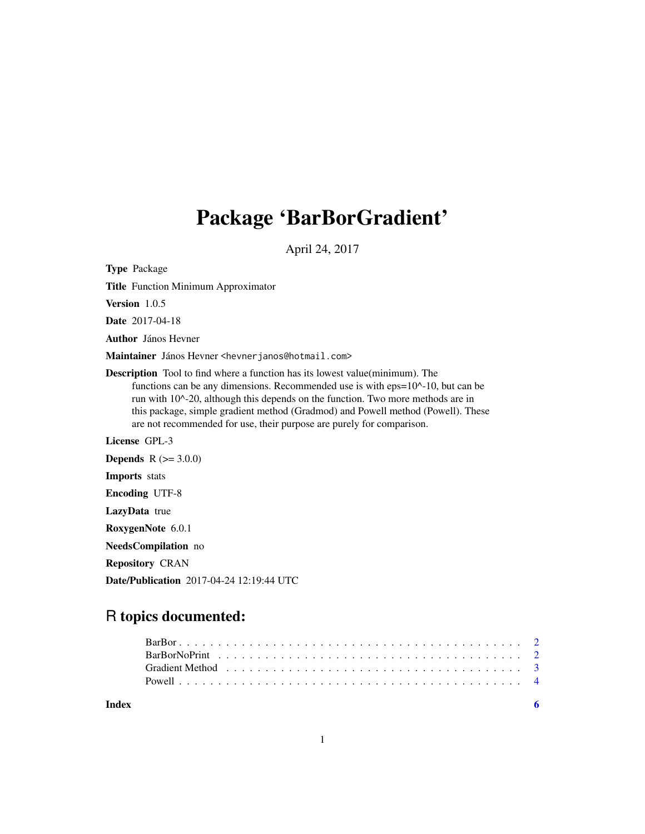# Package 'BarBorGradient'

April 24, 2017

Type Package

Title Function Minimum Approximator

Version 1.0.5

Date 2017-04-18

Author János Hevner

Maintainer János Hevner <hevnerjanos@hotmail.com>

Description Tool to find where a function has its lowest value(minimum). The functions can be any dimensions. Recommended use is with eps=10^-10, but can be run with 10^-20, although this depends on the function. Two more methods are in this package, simple gradient method (Gradmod) and Powell method (Powell). These are not recommended for use, their purpose are purely for comparison.

License GPL-3

**Depends**  $R (= 3.0.0)$ Imports stats Encoding UTF-8 LazyData true RoxygenNote 6.0.1 NeedsCompilation no

Repository CRAN

Date/Publication 2017-04-24 12:19:44 UTC

# R topics documented:

|       | Gradient Method (and all contact and all contact and all contact and all contact and all contact and all contact and $\frac{3}{2}$ |  |     |
|-------|------------------------------------------------------------------------------------------------------------------------------------|--|-----|
|       |                                                                                                                                    |  |     |
| Index |                                                                                                                                    |  | - 6 |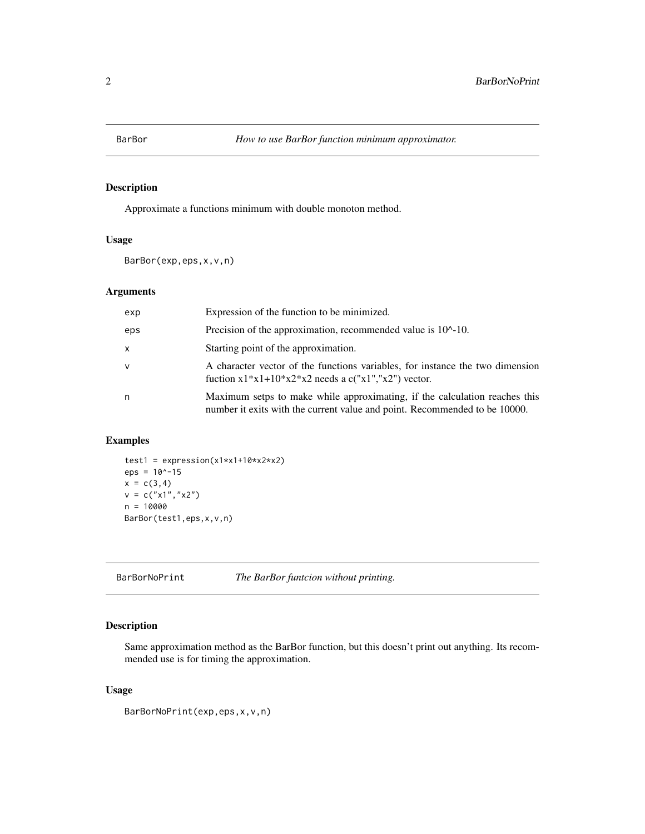<span id="page-1-0"></span>

## Description

Approximate a functions minimum with double monoton method.

# Usage

BarBor(exp,eps,x,v,n)

# Arguments

| exp          | Expression of the function to be minimized.                                                                                                              |
|--------------|----------------------------------------------------------------------------------------------------------------------------------------------------------|
| eps          | Precision of the approximation, recommended value is 10 <sup><math>\land</math></sup> -10.                                                               |
| $\mathsf{x}$ | Starting point of the approximation.                                                                                                                     |
| $\vee$       | A character vector of the functions variables, for instance the two dimension<br>fuction $x1*x1+10*x2*x2$ needs a c("x1","x2") vector.                   |
| n            | Maximum setps to make while approximating, if the calculation reaches this<br>number it exits with the current value and point. Recommended to be 10000. |

# Examples

```
test1 = expression(x1*x1+10*x2*x2)eps = 10^x - 15x = c(3, 4)v = c("x1","x2")
n = 10000
BarBor(test1,eps,x,v,n)
```
BarBorNoPrint *The BarBor funtcion without printing.*

## Description

Same approximation method as the BarBor function, but this doesn't print out anything. Its recommended use is for timing the approximation.

# Usage

```
BarBorNoPrint(exp,eps,x,v,n)
```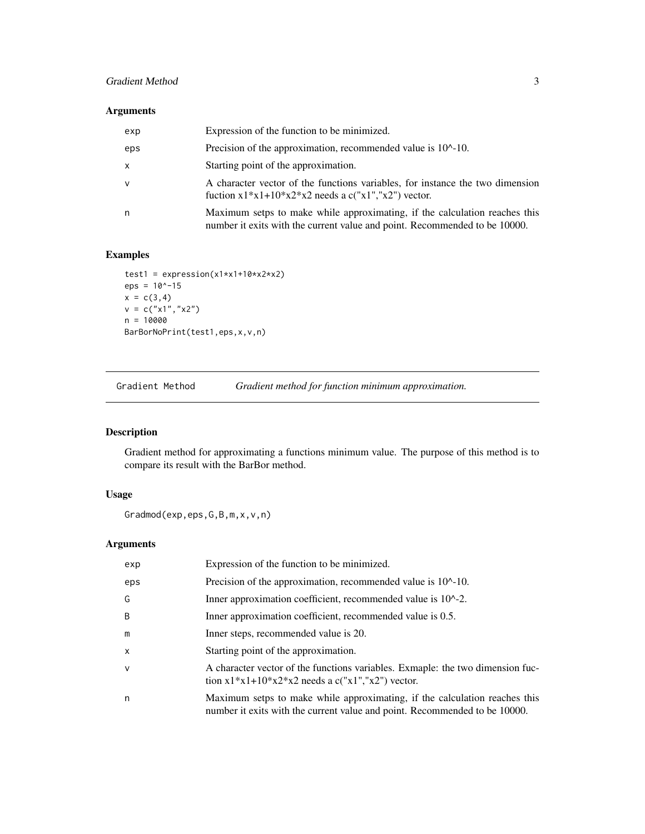# <span id="page-2-0"></span>Gradient Method 3

# Arguments

| exp | Expression of the function to be minimized.                                                                                                              |
|-----|----------------------------------------------------------------------------------------------------------------------------------------------------------|
| eps | Precision of the approximation, recommended value is 10^-10.                                                                                             |
| x   | Starting point of the approximation.                                                                                                                     |
| v   | A character vector of the functions variables, for instance the two dimension<br>fuction $x1*x1+10*x2*x2$ needs a c("x1","x2") vector.                   |
| n   | Maximum setps to make while approximating, if the calculation reaches this<br>number it exits with the current value and point. Recommended to be 10000. |

# Examples

```
test1 = expression(x1*x1+10*x2*x2)eps = 10^x - 15x = c(3, 4)v = c("x1", "x2")n = 10000
BarBorNoPrint(test1,eps,x,v,n)
```
Gradient Method *Gradient method for function minimum approximation.*

# Description

Gradient method for approximating a functions minimum value. The purpose of this method is to compare its result with the BarBor method.

# Usage

Gradmod(exp,eps,G,B,m,x,v,n)

# Arguments

| exp          | Expression of the function to be minimized.                                                                                                              |
|--------------|----------------------------------------------------------------------------------------------------------------------------------------------------------|
| eps          | Precision of the approximation, recommended value is $10^{\circ}$ -10.                                                                                   |
| G            | Inner approximation coefficient, recommended value is 10 <sup><math>\lambda</math></sup> -2.                                                             |
| B            | Inner approximation coefficient, recommended value is 0.5.                                                                                               |
| m            | Inner steps, recommended value is 20.                                                                                                                    |
| $\mathsf{x}$ | Starting point of the approximation.                                                                                                                     |
| $\mathsf{V}$ | A character vector of the functions variables. Exmaple: the two dimension fuc-<br>tion $x1*x1+10*x2*x2$ needs a c("x1","x2") vector.                     |
| n            | Maximum setps to make while approximating, if the calculation reaches this<br>number it exits with the current value and point. Recommended to be 10000. |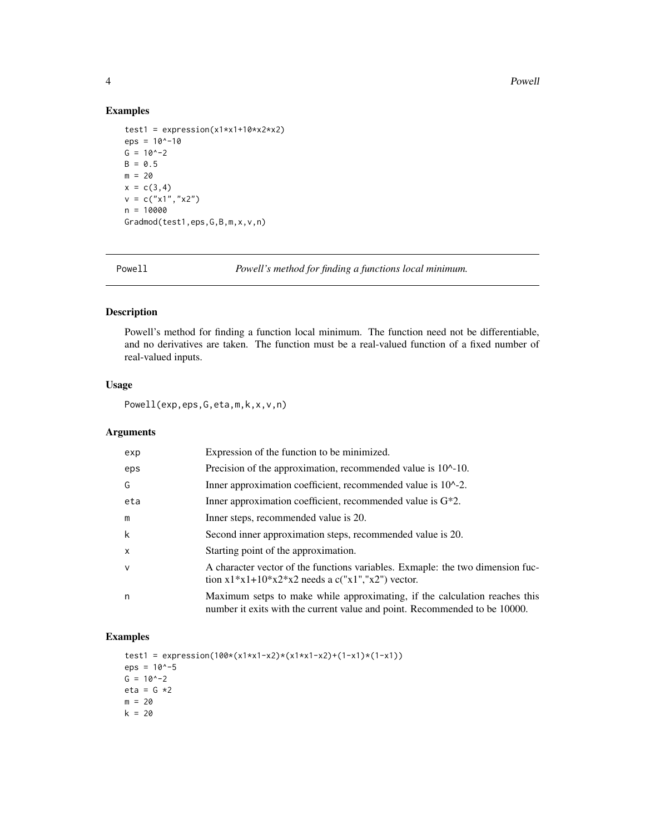# Examples

```
test1 = expression(x1*x1+10*x2*x2)eps = 10^{\circ} - 10G = 10^{\circ} - 2B = 0.5m = 20x = c(3, 4)v = c("x1", "x2")n = 10000Gradmod(test1,eps,G,B,m,x,v,n)
```
Powell *Powell's method for finding a functions local minimum.*

# Description

Powell's method for finding a function local minimum. The function need not be differentiable, and no derivatives are taken. The function must be a real-valued function of a fixed number of real-valued inputs.

# Usage

Powell(exp,eps,G,eta,m,k,x,v,n)

# Arguments

| exp          | Expression of the function to be minimized.                                                                                                              |
|--------------|----------------------------------------------------------------------------------------------------------------------------------------------------------|
| eps          | Precision of the approximation, recommended value is 10^-10.                                                                                             |
| G            | Inner approximation coefficient, recommended value is 10 <sup><math>\lambda</math></sup> -2.                                                             |
| eta          | Inner approximation coefficient, recommended value is $G^*2$ .                                                                                           |
| m            | Inner steps, recommended value is 20.                                                                                                                    |
| k            | Second inner approximation steps, recommended value is 20.                                                                                               |
| $\mathsf{x}$ | Starting point of the approximation.                                                                                                                     |
| $\mathsf{v}$ | A character vector of the functions variables. Exmaple: the two dimension fuc-<br>tion $x1*x1+10*x2*x2$ needs a c("x1","x2") vector.                     |
| n            | Maximum setps to make while approximating, if the calculation reaches this<br>number it exits with the current value and point. Recommended to be 10000. |

## Examples

```
test1 = expression(100*(x1*x1-x2)*(x1*x1-x2)+(1-x1)*(1-x1))
eps = 10^{\circ} - 5G = 10^{\circ} - 2eta = G *2m = 20k = 20
```
<span id="page-3-0"></span>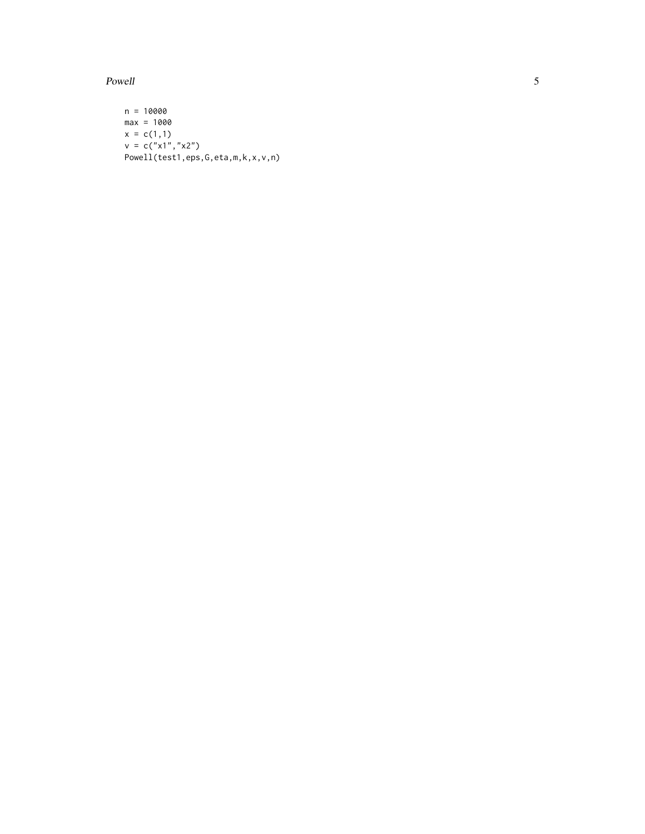Powell

```
n = 10000
max = 1000x = c(1,1)v = c("x1", "x2")Powell(test1,eps,G,eta,m,k,x,v,n)
```